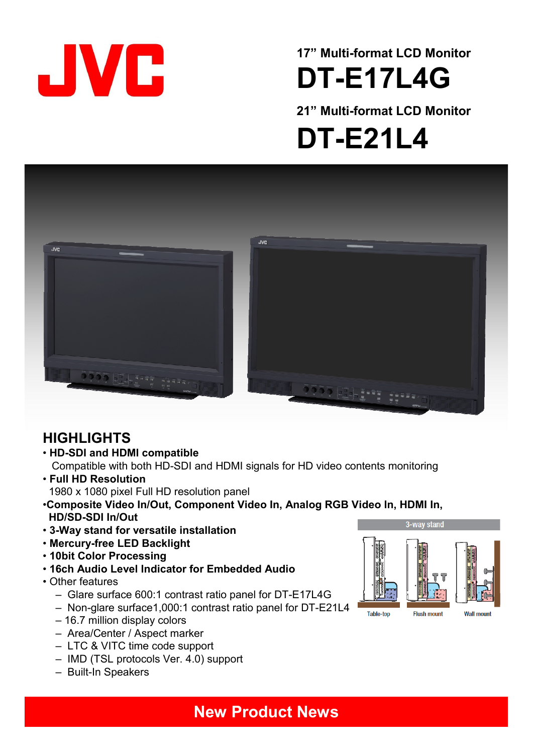

# **17" Multi-format LCD Monitor DT-E17L4G**

**21" Multi-format LCD Monitor** 

**DT-E21L4**



### **HIGHLIGHTS**

• **HD-SDI and HDMI compatible**

Compatible with both HD-SDI and HDMI signals for HD video contents monitoring

- **Full HD Resolution** 1980 x 1080 pixel Full HD resolution panel
- •**Composite Video In/Out, Component Video In, Analog RGB Video In, HDMI In, HD/SD-SDI In/Out**
- **3-Way stand for versatile installation**
- **Mercury-free LED Backlight**
- **10bit Color Processing**
- **16ch Audio Level Indicator for Embedded Audio**
- Other features
	- Glare surface 600:1 contrast ratio panel for DT-E17L4G
	- Non-glare surface1,000:1 contrast ratio panel for DT-E21L4
	- 16.7 million display colors
	- Area/Center / Aspect marker
	- LTC & VITC time code support
	- IMD (TSL protocols Ver. 4.0) support
	- Built-In Speakers

3-wav stand Table-top **Flush mount** Wall mount

### **New Product News**